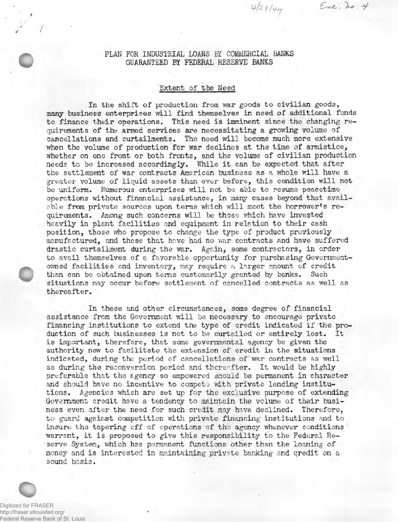PLAN FOR INDUSTRIAL LOANS BY COMMERCIAL BANKS GUARANTEED BY FEDERAI, RESERVE BANKS

 $428/44$ 

Ere, to 4

## Extent of the Need

In the shift of production from war goods to civilian goods, many business enterprises will find themselves in need of additional funds to finance their operations. This need is imminent since the changing requirements of the armed services are necessitating a growing volume of cancellations and curtailments. The need will become much more extensive when the volume of production for war declines at the time of armistice, whether on one front or both fronts, and the volume of civilian production needs to be increased accordingly. While it can be expected that after the settlement of war contracts American business as a whole will have a greater volume of liquid assets than ever before, this condition will not be uniform. Numerous enterprises will not be able to resume peacetime operations without financial assistance, in many cases beyond that available from private sources upon terms which will meet the borrower's requirements. Among such concerns will be those which have invested heavily in plant facilities and equipment in relation to their cash position, those who propose to change the type of product previously manufactured, and those that have had no war contracts and have suffered drastic curtailment during the war. Again, some contractors, in order to avail themselves of a favorable opportunity for purchasing Governmentowned facilities and inventory, may require a larger amount of credit than can be obtained upon terns customarily granted by banks. Such situations may occur before settlement of cancelled contracts as well as thereafter.

In these and other circumstances, some degree of financial assistance from the Government will be necessary to encourage private financing institutions to extend the type of credit indicated if the production of such businesses is not to be curtailed or entirely lost. Itis important, therefore, that some governmental agency be given the authority now to facilitate the extension of credit in the situations indicated, during the period of cancellations of war contracts as well as during the reconversion period and thereafter. It would be highly preferable that the agency so empowered should be permanent in character and should have no incentive to compete with private lending institutions. Agencies which are set up for the exclusive purpose of extending Government credit have a tendency to maintain the volume of their business even after the need for such credit may have declined. Therefore, to guard against competition with private financing institutions and to insure the tapering off of operations of the agency whenever conditions warrant, it is proposed to give this responsibility to the Federal Reserve System, which has permanent functions other than the loaning of money and is interested in maintaining private banking and credit on a sound basis.

Digitized for FRASER http://fraser.stlouisfed.org/ Federal Reserve Bank of St. Louis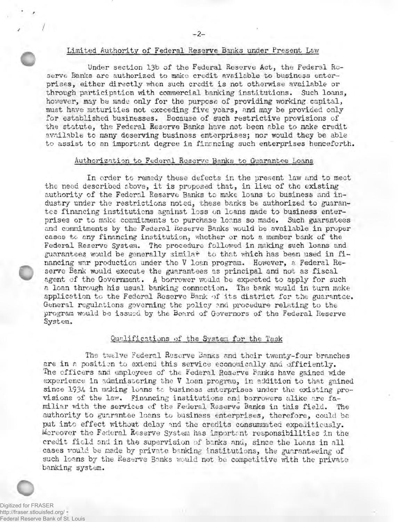# Limited Authority of Federal Reserve Banks under Present Law

Under section 13b of the Federal Reserve Act, the Federal Reserve Banks are authorized to make credit available to business enterprises, either directly when such credit is not otherwise available or through participation with commercial banking institutions. Such loans, however, may be made only for the purpose of providing working capital, must have maturities not exceeding five years, and may be provided only for established businesses. Because of such restrictive provisions of the statute, the Federal Reserve Banks have not been able to make credit available to many deserving business enterprises; nor would they be able to assist to an important degree in financing such enterprises henceforth.

### Authorization to Federal Reserve Banks to Guarantee Loans

In order to remedy these defects in the present law and to meet the need described above, it is proposed that, in lieu of the existing authority of the Federal Reserve Banks to make loans to business and industry under the restrictions noted, these banks be authorized to guarantee financing institutions against loss on loans made to business enterprises or to make commitments to purchase loans so made. Such guarantees and commitments by the Federal Reserve Banks would be available in proper cases to any financing institution, whether or not a member bank of the Federal Reserve System. The procedure followed in making such loans and guarantees would be generally similar to that vhich has been used in financing war production under the V loan program. However, a Federal Reserve Bank would execute the guarantees as principal and not as fiscal agent of the Government. A borrower would be expected to apply for such a loan through his usual, banking connection. The bank would in turn make application to the Federal Reserve Bank of its district for the guarantee. General regulations governing the policy and procedure relating to the program would bo issued by the Board of Governors of the Federal Reserve System.

## Qualifications of the System for the Task

The twelve Federal Reserve Banks and their twenty-four branches are in a position to extend this service economically and efficiently. The officers and employees of the Federal Reserve Banks have gained wide experience in administering the V loan program, in addition to that gained since 1934 in making loans to business enterprises under the existing provisions of the law. Financing institutions and borrowers alike are familiar with the services of the Federal Reserve Banks in this field. The authority to guarantee loans to business enterprises, therefore, could be put into effect without delay and the credits consummated expeditiously. Moreover the Federal Reserve System has importent responsibilities in the credit field and in the supervision of banks and, since the loans in all cases would be made by private banking institutions, the guaranteeing of such loans by the Reserve Banks would not be competitive with the private banking system.

Digitized for FRASER http://fraser.stlouisfed.org/ Federal Reserve Bank of St. Louis

/